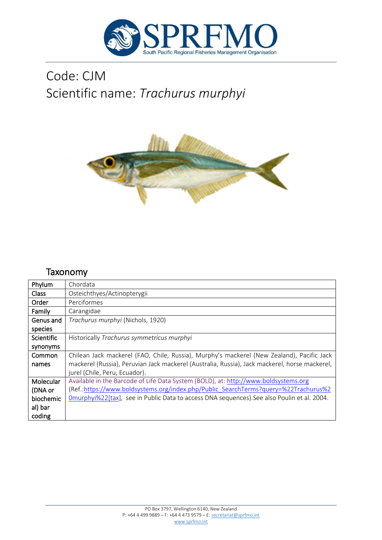

# Code: CJM Scientific name: *Trachurus murphyi*



## Taxonomy

| Phylum            | Chordata                                                                                      |
|-------------------|-----------------------------------------------------------------------------------------------|
| Class             | Osteichthyes/Actinopterygii                                                                   |
| Order             | Perciformes                                                                                   |
| Family            | Carangidae                                                                                    |
| Genus and         | Trachurus murphyi (Nichols, 1920)                                                             |
| species           |                                                                                               |
| <b>Scientific</b> | Historically Trachurus symmetricus murphyi                                                    |
| synonyms          |                                                                                               |
| <b>Common</b>     | Chilean Jack mackerel (FAO, Chile, Russia), Murphy's mackerel (New Zealand), Pacific Jack     |
| names             | mackerel (Russia), Peruvian Jack mackerel (Australia, Russia), Jack mackerel, horse mackerel, |
|                   | jurel (Chile, Peru, Ecuador).                                                                 |
| Molecular         | Available in the Barcode of Life Data System (BOLD), at: http://www.boldsystems.org           |
| (DNA or           | (Ref.:https://www.boldsystems.org/index.php/Public SearchTerms?query=%22Trachurus%2           |
| biochemic         | Omurphyi%22[tax], see in Public Data to access DNA sequences). See also Poulin et al. 2004.   |
| al) bar           |                                                                                               |
| coding            |                                                                                               |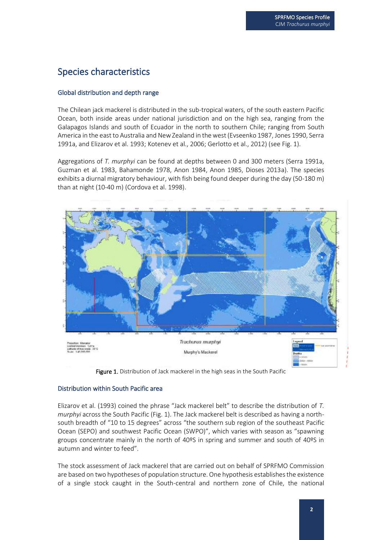Species Profile Profile

### Species characteristics

#### Global distribution and depth range

The Chilean jack mackerel is distributed in the sub-tropical waters, of the south eastern Pacific Ocean, both inside areas under national jurisdiction and on the high sea, ranging from the Galapagos Islands and south of Ecuador in the north to southern Chile; ranging from South America in the east to Australia and New Zealand in the west (Evseenko 1987, Jones 1990, Serra 1991a, and Elizarov et al. 1993; Kotenev et al., 2006; Gerlotto et al., 2012) (see Fig. 1).

Aggregations of *T. murphyi* can be found at depths between 0 and 300 meters (Serra 1991a, Guzman et al. 1983, Bahamonde 1978, Anon 1984, Anon 1985, Dioses 2013a). The species exhibits a diurnal migratory behaviour, with fish being found deeper during the day (50-180 m) than at night (10-40 m) (Cordova et al. 1998).



Figure 1. Distribution of Jack mackerel in the high seas in the South Pacific

#### Distribution within South Pacific area

Elizarov et al. (1993) coined the phrase "Jack mackerel belt" to describe the distribution of *T. murphyi* across the South Pacific (Fig. 1). The Jack mackerel belt is described as having a northsouth breadth of "10 to 15 degrees" across "the southern sub region of the southeast Pacific Ocean (SEPO) and southwest Pacific Ocean (SWPO)", which varies with season as "spawning groups concentrate mainly in the north of 40ºS in spring and summer and south of 40ºS in autumn and winter to feed".

The stock assessment of Jack mackerel that are carried out on behalf of SPRFMO Commission are based on two hypotheses of population structure. One hypothesis establishes the existence of a single stock caught in the South-central and northern zone of Chile, the national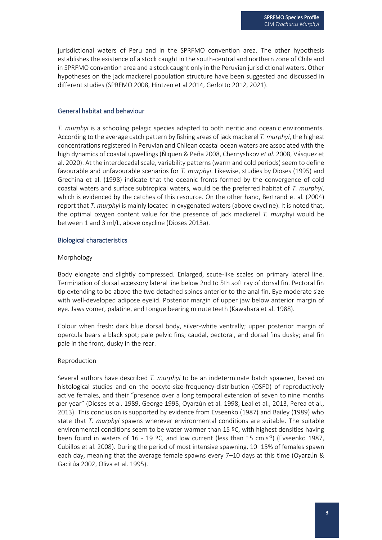jurisdictional waters of Peru and in the SPRFMO convention area. The other hypothesis establishes the existence of a stock caught in the south-central and northern zone of Chile and in SPRFMO convention area and a stock caught only in the Peruvian jurisdictional waters. Other hypotheses on the jack mackerel population structure have been suggested and discussed in different studies (SPRFMO 2008, Hintzen et al 2014, Gerlotto 2012, 2021).

#### General habitat and behaviour

*T. murphyi* is a schooling pelagic species adapted to both neritic and oceanic environments. According to the average catch pattern by fishing areas of jack mackerel *T. murphyi*, the highest concentrations registered in Peruvian and Chilean coastal ocean waters are associated with the high dynamics of coastal upwellings (Ñiquen & Peña 2008, Chernyshkov *et al*. 2008, Vásquez et al. 2020). At the interdecadal scale, variability patterns (warm and cold periods) seem to define favourable and unfavourable scenarios for *T. murph*y*i*. Likewise, studies by Dioses (1995) and Grechina et al. (1998) indicate that the oceanic fronts formed by the convergence of cold coastal waters and surface subtropical waters, would be the preferred habitat of *T. murphyi*, which is evidenced by the catches of this resource. On the other hand, Bertrand et al. (2004) report that *T. murphyi* is mainly located in oxygenated waters (above oxycline). It is noted that, the optimal oxygen content value for the presence of jack mackerel *T. murp*hyi would be between 1 and 3 ml/L, above oxycline (Dioses 2013a).

#### Biological characteristics

#### Morphology

Body elongate and slightly compressed. Enlarged, scute-like scales on primary lateral line. Termination of dorsal accessory lateral line below 2nd to 5th soft ray of dorsal fin. Pectoral fin tip extending to be above the two detached spines anterior to the anal fin. Eye moderate size with well-developed adipose eyelid. Posterior margin of upper jaw below anterior margin of eye. Jaws vomer, palatine, and tongue bearing minute teeth (Kawahara et al. 1988).

Colour when fresh: dark blue dorsal body, silver-white ventrally; upper posterior margin of opercula bears a black spot; pale pelvic fins; caudal, pectoral, and dorsal fins dusky; anal fin pale in the front, dusky in the rear.

#### Reproduction

Several authors have described *T. murphyi* to be an indeterminate batch spawner, based on histological studies and on the oocyte-size-frequency-distribution (OSFD) of reproductively active females, and their "presence over a long temporal extension of seven to nine months per year" (Dioses et al. 1989, George 1995, Oyarzún et al. 1998, Leal et al., 2013, Perea et al., 2013). This conclusion is supported by evidence from Evseenko (1987) and Bailey (1989) who state that *T. murphyi* spawns wherever environmental conditions are suitable. The suitable environmental conditions seem to be water warmer than 15  $°C$ , with highest densities having been found in waters of 16 - 19 °C, and low current (less than 15 cm.s<sup>-1</sup>) (Evseenko 1987, Cubillos et al. 2008). During the period of most intensive spawning, 10–15% of females spawn each day, meaning that the average female spawns every 7–10 days at this time (Oyarzún & Gacitúa 2002, Oliva et al. 1995).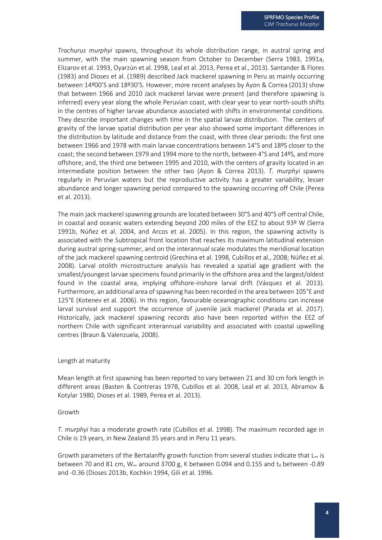*Trachurus murphyi* spawns, throughout its whole distribution range, in austral spring and summer, with the main spawning season from October to December (Serra 1983, 1991a, Elizarov et al. 1993, Oyarzún et al. 1998, Leal et al. 2013, Perea et al., 2013). Santander & Flores (1983) and Dioses et al. (1989) described Jack mackerel spawning in Peru as mainly occurring between 14º00'S and 18º30'S. However, more recent analyses by Ayon & Correa (2013) show that between 1966 and 2010 Jack mackerel larvae were present (and therefore spawning is inferred) every year along the whole Peruvian coast, with clear year to year north-south shifts in the centres of higher larvae abundance associated with shifts in environmental conditions. They describe important changes with time in the spatial larvae distribution. The centers of gravity of the larvae spatial distribution per year also showed some important differences in the distribution by latitude and distance from the coast, with three clear periods: the first one between 1966 and 1978 with main larvae concentrations between 14°S and 18ºS closer to the coast; the second between 1979 and 1994 more to the north, between 4°S and 14ºS, and more offshore; and, the third one between 1995 and 2010, with the centers of gravity located in an intermediate position between the other two (Ayon & Correa 2013). *T. murphyi* spawns regularly in Peruvian waters but the reproductive activity has a greater variability, lesser abundance and longer spawning period compared to the spawning occurring off Chile (Perea et al. 2013).

The main jack mackerel spawning grounds are located between 30°S and 40°S off central Chile, in coastal and oceanic waters extending beyond 200 miles of the EEZ to about 93º W (Serra 1991b, Núñez et al. 2004, and Arcos et al. 2005). In this region, the spawning activity is associated with the Subtropical front location that reaches its maximum latitudinal extension during austral spring-summer, and on the interannual scale modulates the meridional location of the jack mackerel spawning centroid (Grechina et al. 1998, Cubillos et al., 2008; Núñez et al. 2008). Larval otolith microstructure analysis has revealed a spatial age gradient with the smallest/youngest larvae specimens found primarily in the offshore area and the largest/oldest found in the coastal area, implying offshore-inshore larval drift (Vásquez et al. 2013). Furthermore, an additional area of spawning has been recorded in the area between 105°E and 125°E (Kotenev et al. 2006). In this region, favourable oceanographic conditions can increase larval survival and support the occurrence of juvenile jack mackerel (Parada et al. 2017). Historically, jack mackerel spawning records also have been reported within the EEZ of northern Chile with significant interannual variability and associated with coastal upwelling centres (Braun & Valenzuela, 2008).

#### Length at maturity

Mean length at first spawning has been reported to vary between 21 and 30 cm fork length in different areas (Basten & Contreras 1978, Cubillos et al. 2008, Leal et al. 2013, Abramov & Kotylar 1980, Dioses et al. 1989, Perea et al. 2013).

#### Growth

*T. murphyi* has a moderate growth rate (Cubillos et al. 1998). The maximum recorded age in Chile is 19 years, in New Zealand 35 years and in Peru 11 years.

Growth parameters of the Bertalanffy growth function from several studies indicate that  $L_{\infty}$  is between 70 and 81 cm,  $W_{\infty}$  around 3700 g, K between 0.094 and 0.155 and  $t_0$  between -0.89 and -0.36 (Dioses 2013b, Kochkin 1994, Gili et al. 1996.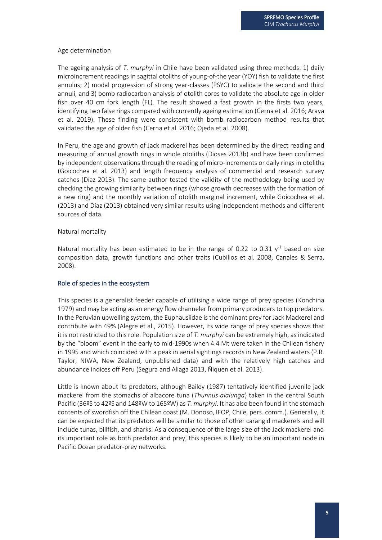#### Age determination

The ageing analysis of *T. murphyi* in Chile have been validated using three methods: 1) daily microincrement readings in sagittal otoliths of young-of-the year (YOY) fish to validate the first annulus; 2) modal progression of strong year-classes (PSYC) to validate the second and third annuli, and 3) bomb radiocarbon analysis of otolith cores to validate the absolute age in older fish over 40 cm fork length (FL). The result showed a fast growth in the firsts two years, identifying two false rings compared with currently ageing estimation (Cerna et al. 2016; Araya et al. 2019). These finding were consistent with bomb radiocarbon method results that validated the age of older fish (Cerna et al. 2016; Ojeda et al. 2008).

In Peru, the age and growth of Jack mackerel has been determined by the direct reading and measuring of annual growth rings in whole otoliths (Dioses 2013b) and have been confirmed by independent observations through the reading of micro-increments or daily rings in otoliths (Goicochea et al. 2013) and length frequency analysis of commercial and research survey catches (Díaz 2013). The same author tested the validity of the methodology being used by checking the growing similarity between rings (whose growth decreases with the formation of a new ring) and the monthly variation of otolith marginal increment, while Goicochea et al. (2013) and Díaz (2013) obtained very similar results using independent methods and different sources of data.

#### Natural mortality

Natural mortality has been estimated to be in the range of 0.22 to 0.31  $y<sup>-1</sup>$  based on size composition data, growth functions and other traits (Cubillos et al. 2008, Canales & Serra, 2008).

#### Role of species in the ecosystem

This species is a generalist feeder capable of utilising a wide range of prey species (Konchina 1979) and may be acting as an energy flow channeler from primary producers to top predators. In the Peruvian upwelling system, the Euphausiidae is the dominant prey for Jack Mackerel and contribute with 49% (Alegre et al., 2015). However, its wide range of prey species shows that it is not restricted to this role. Population size of *T. murphyi* can be extremely high, as indicated by the "bloom" event in the early to mid-1990s when 4.4 Mt were taken in the Chilean fishery in 1995 and which coincided with a peak in aerial sightings records in New Zealand waters (P.R. Taylor, NIWA, New Zealand, unpublished data) and with the relatively high catches and abundance indices off Peru (Segura and Aliaga 2013, Ñiquen et al. 2013).

Little is known about its predators, although Bailey (1987) tentatively identified juvenile jack mackerel from the stomachs of albacore tuna (*Thunnus alalunga*) taken in the central South Pacific (36ºS to 42ºS and 148ºW to 165ºW) as *T. murphyi*. It has also been found in the stomach contents of swordfish off the Chilean coast (M. Donoso, IFOP, Chile, pers. comm.). Generally, it can be expected that its predators will be similar to those of other carangid mackerels and will include tunas, billfish, and sharks. As a consequence of the large size of the Jack mackerel and its important role as both predator and prey, this species is likely to be an important node in Pacific Ocean predator-prey networks.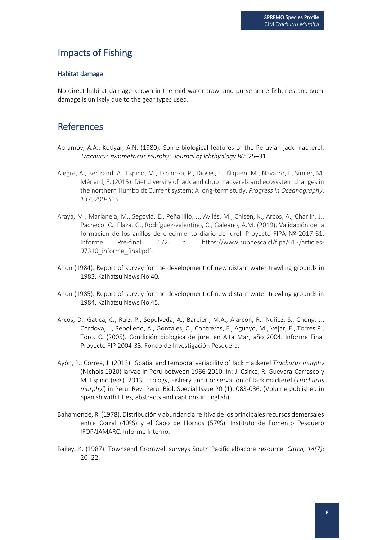### Impacts of Fishing

#### Habitat damage

No direct habitat damage known in the mid-water trawl and purse seine fisheries and such damage is unlikely due to the gear types used.

### References

- Abramov, A.A., Kotlyar, A.N. (1980). Some biological features of the Peruvian jack mackerel, *Trachurus symmetricus murphyi*. *Journal of Ichthyology 80*: 25–31.
- Alegre, A., Bertrand, A., Espino, M., Espinoza, P., Dioses, T., Ñiquen, M., Navarro, I., Simier, M. Ménard, F. (2015). Diet diversity of jack and chub mackerels and ecosystem changes in the northern Humboldt Current system: A long-term study. *Progress in Oceanography*, *137*, 299-313.
- Araya, M., Marianela, M., Segovia, E., Peñailillo, J., Avilés, M., Chisen, K., Arcos, A., Charlin, J., Pacheco, C., Plaza, G., Rodríguez-valentino, C., Galeano, A.M. (2019). Validación de la formación de los anillos de crecimiento diario de jurel. Proyecto FIPA Nº 2017-61. Informe Pre-final. 172 p. https://www.subpesca.cl/fipa/613/articles-97310 informe final.pdf.
- Anon (1984). Report of survey for the development of new distant water trawling grounds in 1983. Kaihatsu News No 40.
- Anon (1985). Report of survey for the development of new distant water trawling grounds in 1984. Kaihatsu News No 45.
- Arcos, D., Gatica, C., Ruiz, P., Sepulveda, A., Barbieri, M.A., Alarcon, R., Nuñez, S., Chong, J., Cordova, J., Rebolledo, A., Gonzales, C., Contreras, F., Aguayo, M., Vejar, F., Torres P., Toro. C. (2005). Condición biologica de jurel en Alta Mar, año 2004. Informe Final Proyecto FIP 2004-33. Fondo de Investigación Pesquera.
- Ayón, P., Correa, J. (2013). Spatial and temporal variability of Jack mackerel *Trachurus murphy* (Nichols 1920) larvae in Peru between 1966-2010. In: J. Csirke, R. Guevara-Carrasco y M. Espino (eds). 2013. Ecology, Fishery and Conservation of Jack mackerel (*Trachurus murphyi*) in Peru. Rev. Peru. Biol. Special Issue 20 (1): 083-086. (Volume published in Spanish with titles, abstracts and captions in English).
- Bahamonde, R. (1978). Distribución y abundancia relitiva de los principales recursos demersales entre Corral (40ºS) y el Cabo de Hornos (57ºS). Instituto de Fomento Pesquero IFOP/JAMARC. Informe Interno.
- Bailey, K. (1987). Townsend Cromwell surveys South Pacific albacore resource. *Catch, 14(7)*;  $20 - 22$ .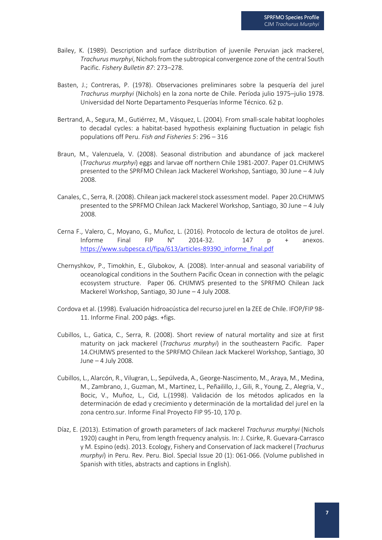- Bailey, K. (1989). Description and surface distribution of juvenile Peruvian jack mackerel, *Trachurus murphyi*, Nichols from the subtropical convergence zone of the central South Pacific. *Fishery Bulletin 87*: 273–278.
- Basten, J.; Contreras, P. (1978). Observaciones preliminares sobre la pesquería del jurel *Trachurus murphyi* (Nichols) en la zona norte de Chile. Períoda julio 1975–julio 1978. Universidad del Norte Departamento Pesquerías Informe Técnico. 62 p.
- Bertrand, A., Segura, M., Gutiérrez, M., Vásquez, L. (2004). From small-scale habitat loopholes to decadal cycles: a habitat-based hypothesis explaining fluctuation in pelagic fish populations off Peru. *Fish and Fisheries 5*: 296 – 316
- Braun, M., Valenzuela, V. (2008). Seasonal distribution and abundance of jack mackerel (*Trachurus murphyi*) eggs and larvae off northern Chile 1981-2007. Paper 01.CHJMWS presented to the SPRFMO Chilean Jack Mackerel Workshop, Santiago, 30 June – 4 July 2008.
- Canales, C., Serra, R. (2008). Chilean jack mackerel stock assessment model. Paper 20.CHJMWS presented to the SPRFMO Chilean Jack Mackerel Workshop, Santiago, 30 June – 4 July 2008.
- Cerna F., Valero, C., Moyano, G., Muñoz, L. (2016). Protocolo de lectura de otolitos de jurel. Informe Final FIP  $N^{\circ}$  2014-32. 147 p + anexos. [https://www.subpesca.cl/fipa/613/articles-89390\\_informe\\_final.pdf](https://www.subpesca.cl/fipa/613/articles-89390_informe_final.pdf)
- Chernyshkov, P., Timokhin, E., Glubokov, A. (2008). Inter-annual and seasonal variability of oceanological conditions in the Southern Pacific Ocean in connection with the pelagic ecosystem structure. Paper 06. CHJMWS presented to the SPRFMO Chilean Jack Mackerel Workshop, Santiago, 30 June – 4 July 2008.
- Cordova et al. (1998). Evaluación hidroacústica del recurso jurel en la ZEE de Chile. IFOP/FIP 98- 11. Informe Final. 200 págs. +figs.
- Cubillos, L., Gatica, C., Serra, R. (2008). Short review of natural mortality and size at first maturity on jack mackerel (*Trachurus murphyi*) in the southeastern Pacific. Paper 14.CHJMWS presented to the SPRFMO Chilean Jack Mackerel Workshop, Santiago, 30 June – 4 July 2008.
- Cubillos, L., Alarcón, R., Vilugran, L., Sepúlveda, A., George-Nascimento, M., Araya, M., Medina, M., Zambrano, J., Guzman, M., Martinez, L., Peñailillo, J., Gili, R., Young, Z., Alegria, V., Bocic, V., Muñoz, L., Cid, L.(1998). Validación de los métodos aplicados en la determinación de edad y crecimiento y determinación de la mortalidad del jurel en la zona centro.sur. Informe Final Proyecto FIP 95-10, 170 p.
- Díaz, E. (2013). Estimation of growth parameters of Jack mackerel *Trachurus murphyi* (Nichols 1920) caught in Peru, from length frequency analysis. In: J. Csirke, R. Guevara-Carrasco y M. Espino (eds). 2013. Ecology, Fishery and Conservation of Jack mackerel (*Trachurus murphyi*) in Peru. Rev. Peru. Biol. Special Issue 20 (1): 061-066. (Volume published in Spanish with titles, abstracts and captions in English).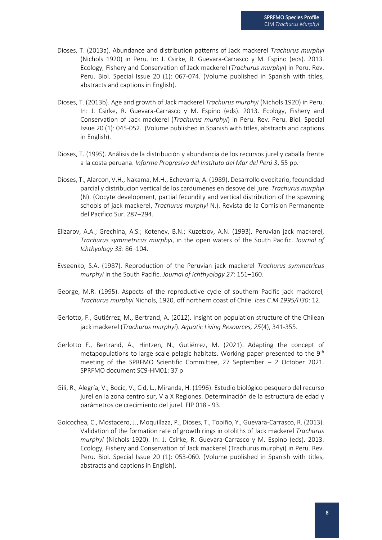- Dioses, T. (2013a). Abundance and distribution patterns of Jack mackerel *Trachurus murphyi* (Nichols 1920) in Peru. In: J. Csirke, R. Guevara-Carrasco y M. Espino (eds). 2013. Ecology, Fishery and Conservation of Jack mackerel (*Trachurus murphyi*) in Peru. Rev. Peru. Biol. Special Issue 20 (1): 067-074. (Volume published in Spanish with titles, abstracts and captions in English).
- Dioses, T. (2013b). Age and growth of Jack mackerel *Trachurus murphyi* (Nichols 1920) in Peru. In: J. Csirke, R. Guevara-Carrasco y M. Espino (eds). 2013. Ecology, Fishery and Conservation of Jack mackerel (*Trachurus murphyi*) in Peru. Rev. Peru. Biol. Special Issue 20 (1): 045-052. (Volume published in Spanish with titles, abstracts and captions in English).
- Dioses, T. (1995). Análisis de la distribución y abundancia de los recursos jurel y caballa frente a la costa peruana. *Informe Progresivo del Instituto del Mar del Perú 3*, 55 pp.
- Dioses, T., Alarcon, V.H., Nakama, M.H., Echevarria, A. (1989). Desarrollo ovocitario, fecundidad parcial y distribucion vertical de los cardumenes en desove del jurel *Trachurus murphyi* (N). (Oocyte development, partial fecundity and vertical distribution of the spawning schools of jack mackerel, *Trachurus murphyi* N.). Revista de la Comision Permanente del Pacifico Sur. 287–294.
- Elizarov, A.A.; Grechina, A.S.; Kotenev, B.N.; Kuzetsov, A.N. (1993). Peruvian jack mackerel, *Trachurus symmetricus murphyi*, in the open waters of the South Pacific. *Journal of Ichthyology 33*: 86–104.
- Evseenko, S.A. (1987). Reproduction of the Peruvian jack mackerel *Trachurus symmetricus murphyi* in the South Pacific. *Journal of Ichthyology 27*: 151–160.
- George, M.R. (1995). Aspects of the reproductive cycle of southern Pacific jack mackerel, *Trachurus murphyi* Nichols, 1920, off northern coast of Chile. *Ices C.M 1995/H30*: 12.
- Gerlotto, F., Gutiérrez, M., Bertrand, A. (2012). Insight on population structure of the Chilean jack mackerel (*Trachurus murphyi*). *Aquatic Living Resources, 25*(4), 341-355.
- Gerlotto F., Bertrand, A., Hintzen, N., Gutiérrez, M. (2021). Adapting the concept of metapopulations to large scale pelagic habitats. Working paper presented to the 9<sup>th</sup> meeting of the SPRFMO Scientific Committee, 27 September – 2 October 2021. SPRFMO document SC9-HM01: 37 p
- Gili, R., Alegría, V., Bocic, V., Cid, L., Miranda, H. (1996). Estudio biológico pesquero del recurso jurel en la zona centro sur, V a X Regiones. Determinación de la estructura de edad y parámetros de crecimiento del jurel. FIP 018 - 93.
- Goicochea, C., Mostacero, J., Moquillaza, P., Dioses, T., Topiño, Y., Guevara-Carrasco, R. (2013). Validation of the formation rate of growth rings in otoliths of Jack mackerel *Trachurus murphyi* (Nichols 1920). In: J. Csirke, R. Guevara-Carrasco y M. Espino (eds). 2013. Ecology, Fishery and Conservation of Jack mackerel (Trachurus murphyi) in Peru. Rev. Peru. Biol. Special Issue 20 (1): 053-060. (Volume published in Spanish with titles, abstracts and captions in English).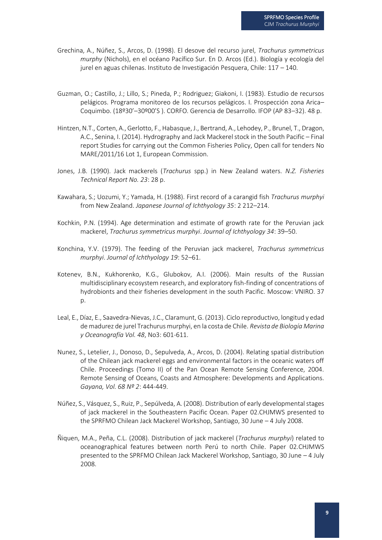- Grechina, A., Núñez, S., Arcos, D. (1998). El desove del recurso jurel, *Trachurus symmetricus murphy* (Nichols), en el océano Pacífico Sur. En D. Arcos (Ed.). Biología y ecología del jurel en aguas chilenas. Instituto de Investigación Pesquera, Chile: 117 – 140.
- Guzman, O.; Castillo, J.; Lillo, S.; Pineda, P.; Rodriguez; Giakoni, I. (1983). Estudio de recursos pelágicos. Programa monitoreo de los recursos pelágicos. I. Prospección zona Arica– Coquimbo. (18º30'–30º00'S ). CORFO. Gerencia de Desarrollo. IFOP (AP 83–32). 48 p.
- Hintzen, N.T., Corten, A., Gerlotto, F., Habasque, J., Bertrand, A., Lehodey, P., Brunel, T., Dragon, A.C., Senina, I. (2014). Hydrography and Jack Mackerel stock in the South Pacific – Final report Studies for carrying out the Common Fisheries Policy, Open call for tenders No MARE/2011/16 Lot 1, European Commission.
- Jones, J.B. (1990). Jack mackerels (*Trachurus* spp.) in New Zealand waters. *N.Z. Fisheries Technical Report No. 23*: 28 p.
- Kawahara, S.; Uozumi, Y.; Yamada, H. (1988). First record of a carangid fish *Trachurus murphyi*  from New Zealand. *Japanese Journal of Ichthyology 35*: 2 212–214.
- Kochkin, P.N. (1994). Age determination and estimate of growth rate for the Peruvian jack mackerel, *Trachurus symmetricus murphyi*. *Journal of Ichthyology 34*: 39–50.
- Konchina, Y.V. (1979). The feeding of the Peruvian jack mackerel, *Trachurus symmetricus murphyi*. *Journal of Ichthyology 19*: 52–61.
- Kotenev, B.N., Kukhorenko, K.G., Glubokov, A.I. (2006). Main results of the Russian multidisciplinary ecosystem research, and exploratory fish-finding of concentrations of hydrobionts and their fisheries development in the south Pacific. Moscow: VNIRO. 37 p.
- Leal, E., Díaz, E., Saavedra-Nievas, J.C., Claramunt, G. (2013). Ciclo reproductivo, longitud y edad de madurez de jurel Trachurus murphyi, en la costa de Chile. *Revista de Biología Marina y Oceanografía Vol. 48*, No3: 601-611.
- Nunez, S., Letelier, J., Donoso, D., Sepulveda, A., Arcos, D. (2004). Relating spatial distribution of the Chilean jack mackerel eggs and environmental factors in the oceanic waters off Chile. Proceedings (Tomo II) of the Pan Ocean Remote Sensing Conference, 2004. Remote Sensing of Oceans, Coasts and Atmosphere: Developments and Applications. *Gayana, Vol. 68 Nº 2*: 444-449.
- Núñez, S., Vásquez, S., Ruiz, P., Sepúlveda, A. (2008). Distribution of early developmental stages of jack mackerel in the Southeastern Pacific Ocean. Paper 02.CHJMWS presented to the SPRFMO Chilean Jack Mackerel Workshop, Santiago, 30 June – 4 July 2008.
- Ñiquen, M.A., Peña, C.L. (2008). Distribution of jack mackerel (*Trachurus murphyi*) related to oceanographical features between north Perú to north Chile. Paper 02.CHJMWS presented to the SPRFMO Chilean Jack Mackerel Workshop, Santiago, 30 June – 4 July 2008.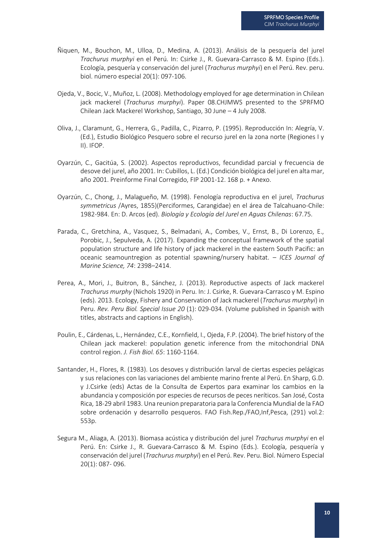- Ñiquen, M., Bouchon, M., Ulloa, D., Medina, A. (2013). Análisis de la pesquería del jurel *Trachurus murphyi* en el Perú. In: Csirke J., R. Guevara-Carrasco & M. Espino (Eds.). Ecología, pesquería y conservación del jurel (*Trachurus murphyi*) en el Perú. Rev. peru. biol. número especial 20(1): 097-106.
- Ojeda, V., Bocic, V., Muñoz, L. (2008). Methodology employed for age determination in Chilean jack mackerel (*Trachurus murphyi*). Paper 08.CHJMWS presented to the SPRFMO Chilean Jack Mackerel Workshop, Santiago, 30 June – 4 July 2008.
- Oliva, J., Claramunt, G., Herrera, G., Padilla, C., Pizarro, P. (1995). Reproducción In: Alegría, V. (Ed.), Estudio Biológico Pesquero sobre el recurso jurel en la zona norte (Regiones I y II). IFOP.
- Oyarzún, C., Gacitúa, S. (2002). Aspectos reproductivos, fecundidad parcial y frecuencia de desove del jurel, año 2001. In: Cubillos, L. (Ed.) Condición biológica del jurel en alta mar, año 2001. Preinforme Final Corregido, FIP 2001-12. 168 p. + Anexo.
- Oyarzún, C., Chong, J., Malagueño, M. (1998). Fenología reproductiva en el jurel, *Trachurus symmetricus* /Ayres, 1855)(Perciformes, Carangidae) en el área de Talcahuano-Chile: 1982-984. En: D. Arcos (ed). *Biología y Ecología del Jurel en Aguas Chilenas*: 67.75.
- Parada, C., Gretchina, A., Vasquez, S., Belmadani, A., Combes, V., Ernst, B., Di Lorenzo, E., Porobic, J., Sepulveda, A. (2017). Expanding the conceptual framework of the spatial population structure and life history of jack mackerel in the eastern South Pacific: an oceanic seamountregion as potential spawning/nursery habitat. – *ICES Journal of Marine Science, 74*: 2398–2414.
- Perea, A., Mori, J., Buitron, B., Sánchez, J. (2013). Reproductive aspects of Jack mackerel *Trachurus murphy* (Nichols 1920) in Peru. In: J. Csirke, R. Guevara-Carrasco y M. Espino (eds). 2013. Ecology, Fishery and Conservation of Jack mackerel (*Trachurus murphyi*) in Peru. *Rev. Peru Biol. Special Issue 20* (1): 029-034. (Volume published in Spanish with titles, abstracts and captions in English).
- Poulin, E., Cárdenas, L., Hernández, C.E., Kornfield, I., Ojeda, F.P. (2004). The brief history of the Chilean jack mackerel: population genetic inference from the mitochondrial DNA control region. *J. Fish Biol. 65*: 1160-1164.
- Santander, H., Flores, R. (1983). Los desoves y distribución larval de ciertas especies pelágicas y sus relaciones con las variaciones del ambiente marino frente al Perú. En Sharp, G.D. y J.Csirke (eds) Actas de la Consulta de Expertos para examinar los cambios en la abundancia y composición por especies de recursos de peces neríticos. San José, Costa Rica, 18-29 abril 1983. Una reunion preparatoria para la Conferencia Mundial de la FAO sobre ordenación y desarrollo pesqueros. FAO Fish.Rep./FAO,Inf,Pesca, (291) vol.2: 553p.
- Segura M., Aliaga, A. (2013). Biomasa acústica y distribución del jurel *Trachurus murphyi* en el Perú. En: Csirke J., R. Guevara-Carrasco & M. Espino (Eds.). Ecología, pesquería y conservación del jurel (*Trachurus murphyi*) en el Perú. Rev. Peru. Biol. Número Especial 20(1): 087- 096.